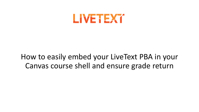

## How to easily embed your LiveText PBA in your Canvas course shell and ensure grade return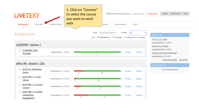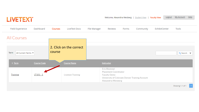| <b>LIVETEXT</b>             |                    |                |                          |              |                                                                                                                                                     |       | Welcome, Alexandria Weisberg   Student View   Faculty View |               | Logout | <b>My Account</b>             | Help |
|-----------------------------|--------------------|----------------|--------------------------|--------------|-----------------------------------------------------------------------------------------------------------------------------------------------------|-------|------------------------------------------------------------|---------------|--------|-------------------------------|------|
| Field Experience            | Dashboard          | <b>Courses</b> | LiveText Docs            | File Manager | Reviews                                                                                                                                             | Forms | Community                                                  | ExhibitCenter |        | Tools                         |      |
| All Courses                 |                    |                |                          |              |                                                                                                                                                     |       |                                                            |               |        |                               |      |
| Term<br>All Current Terms ▼ |                    | course         | 2. Click on the correct  |              |                                                                                                                                                     |       |                                                            |               |        | Q Search $\blacktriangledown$ |      |
| t Term                      | <b>Course Code</b> |                | <b>Course Name</b>       |              | Instructor                                                                                                                                          |       |                                                            |               |        |                               |      |
| <b>Training</b>             | $LT101 - 1$        |                | <b>Livetext Training</b> |              | <b>Eric Blommel</b><br><b>Placement Coordinator</b><br><b>Faculty Demo</b><br>University of Colorado Denver Training Account<br>Alexandria Weisberg |       |                                                            |               |        |                               |      |

Showing 1-1 of 1

 $\blacksquare$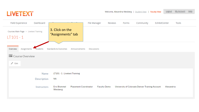

| <b>Field Experience</b><br>Dashboard               |                                       | File Manager                 | Reviews             | Forms | Community                                      | ExhibitCenter<br>Tools |
|----------------------------------------------------|---------------------------------------|------------------------------|---------------------|-------|------------------------------------------------|------------------------|
| Courses Main Page > Livetext Training<br>LT101 - 1 | 3. Click on the<br>"Assignments" tab  |                              |                     |       |                                                |                        |
| Overview<br>Assignments<br>Students                | Standards & Outcomes<br>Announcements | <b>Discussions</b>           |                     |       |                                                |                        |
| La Course Overview                                 |                                       |                              |                     |       |                                                |                        |
| $\mathbb Z$ Edit                                   |                                       |                              |                     |       |                                                |                        |
| Name                                               | LT101 - 1 : Livetext Training         |                              |                     |       |                                                |                        |
| Description                                        | <b>NA</b>                             |                              |                     |       |                                                |                        |
| Instructors                                        | <b>Eric Blommel</b><br>Weisberg       | <b>Placement Coordinator</b> | <b>Faculty Demo</b> |       | University of Colorado Denver Training Account | Alexandria             |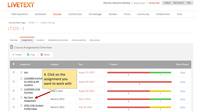

|                                                                                                    | Field Experience                   | Dashboard | <b>Courses</b>    | LiveText Docs | File Manager    | Reviews         | Forms          | Community | ExhibitCenter | Tools                |
|----------------------------------------------------------------------------------------------------|------------------------------------|-----------|-------------------|---------------|-----------------|-----------------|----------------|-----------|---------------|----------------------|
| Courses Main Page > LT101 - 1 > Livetext Training<br>LT101 - 1                                     |                                    |           |                   |               |                 |                 |                |           |               |                      |
| Standards & Outcomes<br>Assignments<br>Students<br>Overview<br>Announcements<br><b>Discussions</b> |                                    |           |                   |               |                 |                 |                |           |               |                      |
|                                                                                                    | Course Assignments Overview        |           |                   |               |                 |                 |                |           |               |                      |
| <b>III</b> Delete<br><b>四</b> Copy<br>$+$ Create                                                   |                                    |           |                   |               |                 |                 |                |           |               |                      |
| □                                                                                                  | Assignment                         |           | Assigned          | <b>Due</b>    |                 | <b>Progress</b> |                |           |               | <b>Rubric Report</b> |
| 0                                                                                                  | 喧<br><u>test</u>                   |           | 4. Click on the   |               | August 13, 2015 |                 | $\overline{2}$ |           | 1.            | View                 |
| 0                                                                                                  | CLDE8888 Portfoli<br>for SPED & RW |           | assignment you    |               |                 |                 |                |           |               |                      |
|                                                                                                    | students                           |           | want to work with |               | August 30, 2015 |                 |                | 3         |               | View                 |
| $\Box$                                                                                             | CLDE9999 CLDE<br>Portfolio         |           | June 5, 2015      |               | August 30, 2015 |                 | $\overline{2}$ |           | 1             | View                 |
| $\Box$                                                                                             | My Class<br>眉<br>Assignment        |           | March 6, 2015     | May 5, 2016   |                 |                 | $\overline{2}$ |           | 1             | View                 |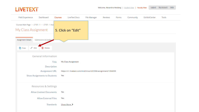

| Field Experience<br>Dashboard<br><b>Courses</b>                       | LiveText Docs                                              | File Manager | Reviews | Forms | Community | ExhibitCenter | Tools |
|-----------------------------------------------------------------------|------------------------------------------------------------|--------------|---------|-------|-----------|---------------|-------|
| Courses Main Page > LT101 - 1 > LT101 - 1 Assi<br>My Class Assignment | 5. Click on "Edit"                                         |              |         |       |           |               |       |
| Assignment Details<br>Submissions & Grades                            |                                                            |              |         |       |           |               |       |
| <b>四</b> Copy<br>$\mathbb Z$ Edit<br><b>III</b> Delete                |                                                            |              |         |       |           |               |       |
| <b>General Information</b>                                            |                                                            |              |         |       |           |               |       |
| <b>Title</b>                                                          | My Class Assignment                                        |              |         |       |           |               |       |
| Description                                                           |                                                            |              |         |       |           |               |       |
| <b>Assignment URL</b>                                                 | https://c1.livetext.com/misk5/sso/UCD98/assignment/1394599 |              |         |       |           |               |       |
| <b>Show Assignments to Students</b>                                   | Yes                                                        |              |         |       |           |               |       |
| Resources & Settings                                                  |                                                            |              |         |       |           |               |       |
| <b>Allow Livetext Documents</b>                                       | Yes                                                        |              |         |       |           |               |       |
| <b>Allow External Files</b>                                           | Yes:                                                       |              |         |       |           |               |       |
| Standards                                                             | Show More                                                  |              |         |       |           |               |       |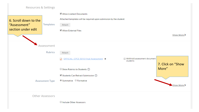

Include Other Assessors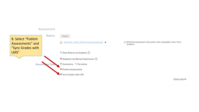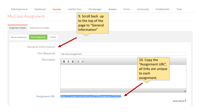

Show More >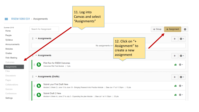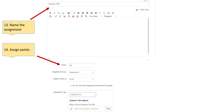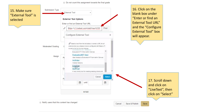## ■ Do not count this assignment towards the final grade

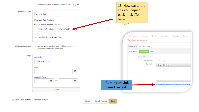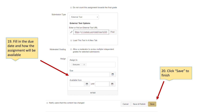## ■ Do not count this assignment towards the final grade